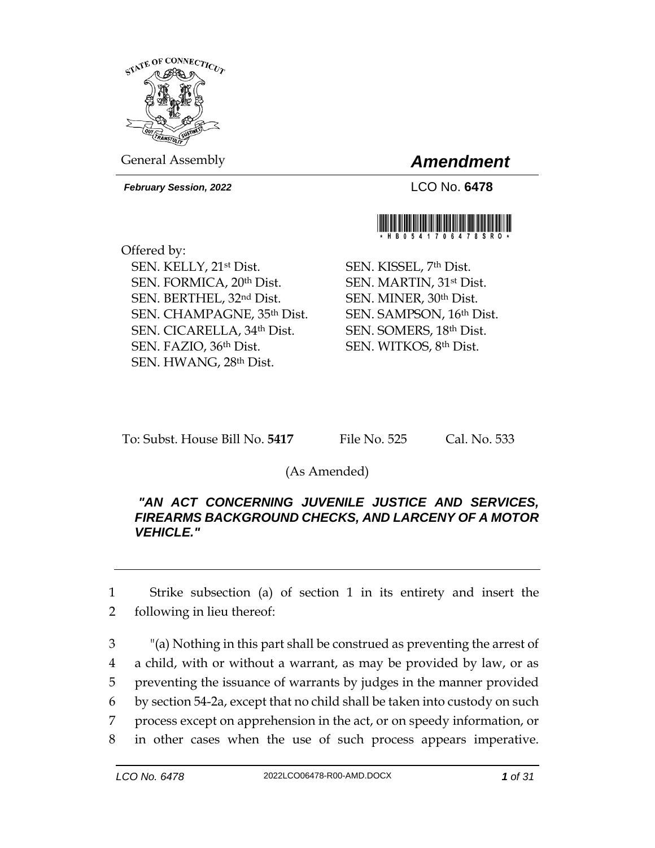

General Assembly *Amendment*

*February Session, 2022* LCO No. **6478**



Offered by: SEN. KELLY, 21st Dist. SEN. FORMICA, 20th Dist. SEN. BERTHEL, 32nd Dist. SEN. CHAMPAGNE, 35th Dist. SEN. CICARELLA, 34th Dist. SEN. FAZIO, 36th Dist. SEN. HWANG, 28th Dist.

SEN. KISSEL, 7th Dist. SEN. MARTIN, 31st Dist. SEN. MINER, 30th Dist. SEN. SAMPSON, 16th Dist. SEN. SOMERS, 18th Dist. SEN. WITKOS, 8th Dist.

To: Subst. House Bill No. **5417** File No. 525 Cal. No. 533

(As Amended)

## *"AN ACT CONCERNING JUVENILE JUSTICE AND SERVICES, FIREARMS BACKGROUND CHECKS, AND LARCENY OF A MOTOR VEHICLE."*

1 Strike subsection (a) of section 1 in its entirety and insert the 2 following in lieu thereof:

 "(a) Nothing in this part shall be construed as preventing the arrest of a child, with or without a warrant, as may be provided by law, or as preventing the issuance of warrants by judges in the manner provided by section 54-2a, except that no child shall be taken into custody on such process except on apprehension in the act, or on speedy information, or in other cases when the use of such process appears imperative.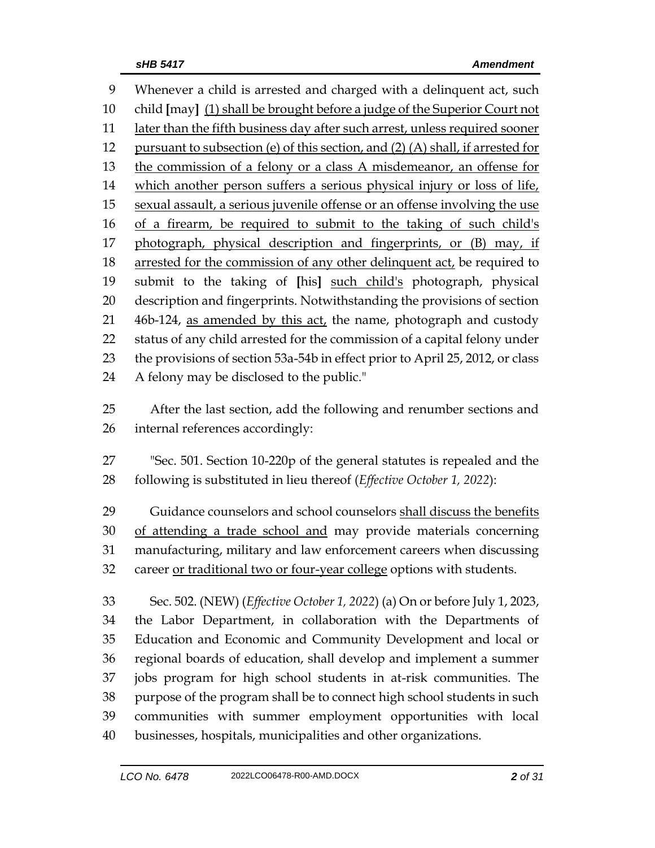Whenever a child is arrested and charged with a delinquent act, such child **[**may**]** (1) shall be brought before a judge of the Superior Court not 11 later than the fifth business day after such arrest, unless required sooner pursuant to subsection (e) of this section, and (2) (A) shall, if arrested for the commission of a felony or a class A misdemeanor, an offense for which another person suffers a serious physical injury or loss of life, sexual assault, a serious juvenile offense or an offense involving the use of a firearm, be required to submit to the taking of such child's 17 photograph, physical description and fingerprints, or (B) may, if 18 arrested for the commission of any other delinquent act, be required to submit to the taking of **[**his**]** such child's photograph, physical description and fingerprints. Notwithstanding the provisions of section 21 46b-124, as amended by this act, the name, photograph and custody status of any child arrested for the commission of a capital felony under the provisions of section 53a-54b in effect prior to April 25, 2012, or class A felony may be disclosed to the public."

 After the last section, add the following and renumber sections and internal references accordingly:

 "Sec. 501. Section 10-220p of the general statutes is repealed and the following is substituted in lieu thereof (*Effective October 1, 2022*):

29 Guidance counselors and school counselors shall discuss the benefits of attending a trade school and may provide materials concerning manufacturing, military and law enforcement careers when discussing career or traditional two or four-year college options with students.

 Sec. 502. (NEW) (*Effective October 1, 2022*) (a) On or before July 1, 2023, the Labor Department, in collaboration with the Departments of Education and Economic and Community Development and local or regional boards of education, shall develop and implement a summer jobs program for high school students in at-risk communities. The purpose of the program shall be to connect high school students in such communities with summer employment opportunities with local businesses, hospitals, municipalities and other organizations.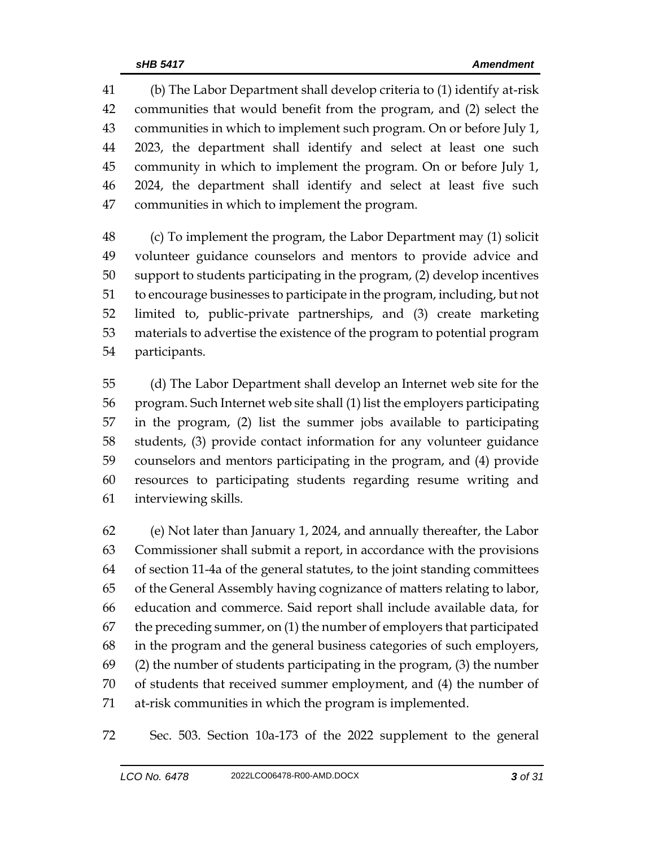(b) The Labor Department shall develop criteria to (1) identify at-risk communities that would benefit from the program, and (2) select the communities in which to implement such program. On or before July 1, 2023, the department shall identify and select at least one such community in which to implement the program. On or before July 1, 2024, the department shall identify and select at least five such communities in which to implement the program.

 (c) To implement the program, the Labor Department may (1) solicit volunteer guidance counselors and mentors to provide advice and support to students participating in the program, (2) develop incentives to encourage businesses to participate in the program, including, but not limited to, public-private partnerships, and (3) create marketing materials to advertise the existence of the program to potential program participants.

 (d) The Labor Department shall develop an Internet web site for the program. Such Internet web site shall (1) list the employers participating in the program, (2) list the summer jobs available to participating students, (3) provide contact information for any volunteer guidance counselors and mentors participating in the program, and (4) provide resources to participating students regarding resume writing and interviewing skills.

 (e) Not later than January 1, 2024, and annually thereafter, the Labor Commissioner shall submit a report, in accordance with the provisions of section 11-4a of the general statutes, to the joint standing committees of the General Assembly having cognizance of matters relating to labor, education and commerce. Said report shall include available data, for the preceding summer, on (1) the number of employers that participated in the program and the general business categories of such employers, (2) the number of students participating in the program, (3) the number of students that received summer employment, and (4) the number of at-risk communities in which the program is implemented.

Sec. 503. Section 10a-173 of the 2022 supplement to the general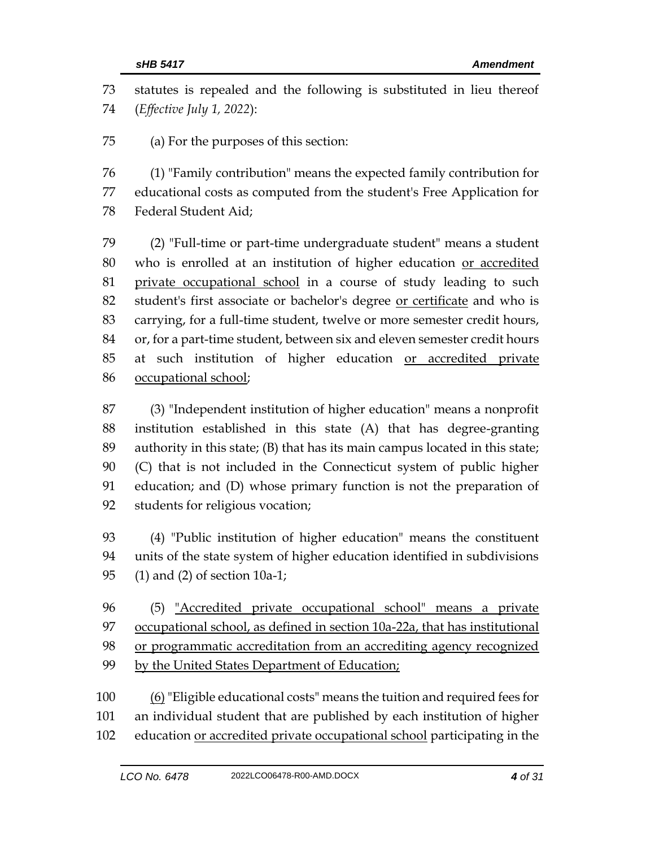statutes is repealed and the following is substituted in lieu thereof (*Effective July 1, 2022*):

(a) For the purposes of this section:

 (1) "Family contribution" means the expected family contribution for educational costs as computed from the student's Free Application for Federal Student Aid;

 (2) "Full-time or part-time undergraduate student" means a student who is enrolled at an institution of higher education or accredited private occupational school in a course of study leading to such student's first associate or bachelor's degree or certificate and who is carrying, for a full-time student, twelve or more semester credit hours, or, for a part-time student, between six and eleven semester credit hours at such institution of higher education or accredited private occupational school;

 (3) "Independent institution of higher education" means a nonprofit institution established in this state (A) that has degree-granting authority in this state; (B) that has its main campus located in this state; (C) that is not included in the Connecticut system of public higher education; and (D) whose primary function is not the preparation of students for religious vocation;

 (4) "Public institution of higher education" means the constituent units of the state system of higher education identified in subdivisions (1) and (2) of section 10a-1;

 (5) "Accredited private occupational school" means a private occupational school, as defined in section 10a-22a, that has institutional or programmatic accreditation from an accrediting agency recognized by the United States Department of Education;

100 (6) "Eligible educational costs" means the tuition and required fees for an individual student that are published by each institution of higher 102 education or accredited private occupational school participating in the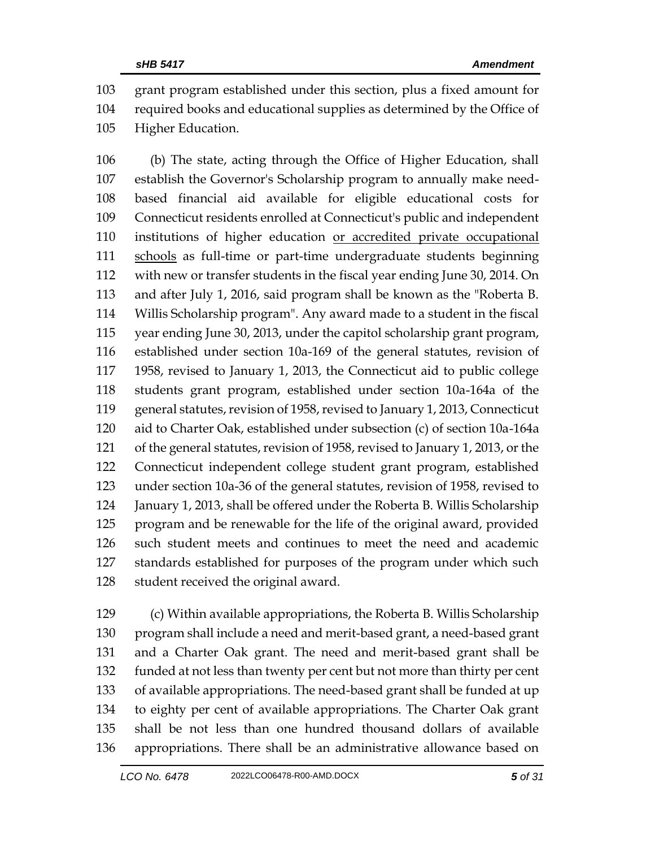grant program established under this section, plus a fixed amount for required books and educational supplies as determined by the Office of Higher Education.

 (b) The state, acting through the Office of Higher Education, shall establish the Governor's Scholarship program to annually make need- based financial aid available for eligible educational costs for Connecticut residents enrolled at Connecticut's public and independent institutions of higher education or accredited private occupational schools as full-time or part-time undergraduate students beginning with new or transfer students in the fiscal year ending June 30, 2014. On and after July 1, 2016, said program shall be known as the "Roberta B. Willis Scholarship program". Any award made to a student in the fiscal year ending June 30, 2013, under the capitol scholarship grant program, established under section 10a-169 of the general statutes, revision of 1958, revised to January 1, 2013, the Connecticut aid to public college students grant program, established under section 10a-164a of the general statutes, revision of 1958, revised to January 1, 2013, Connecticut aid to Charter Oak, established under subsection (c) of section 10a-164a of the general statutes, revision of 1958, revised to January 1, 2013, or the Connecticut independent college student grant program, established under section 10a-36 of the general statutes, revision of 1958, revised to January 1, 2013, shall be offered under the Roberta B. Willis Scholarship program and be renewable for the life of the original award, provided such student meets and continues to meet the need and academic standards established for purposes of the program under which such student received the original award.

 (c) Within available appropriations, the Roberta B. Willis Scholarship program shall include a need and merit-based grant, a need-based grant and a Charter Oak grant. The need and merit-based grant shall be funded at not less than twenty per cent but not more than thirty per cent of available appropriations. The need-based grant shall be funded at up to eighty per cent of available appropriations. The Charter Oak grant shall be not less than one hundred thousand dollars of available appropriations. There shall be an administrative allowance based on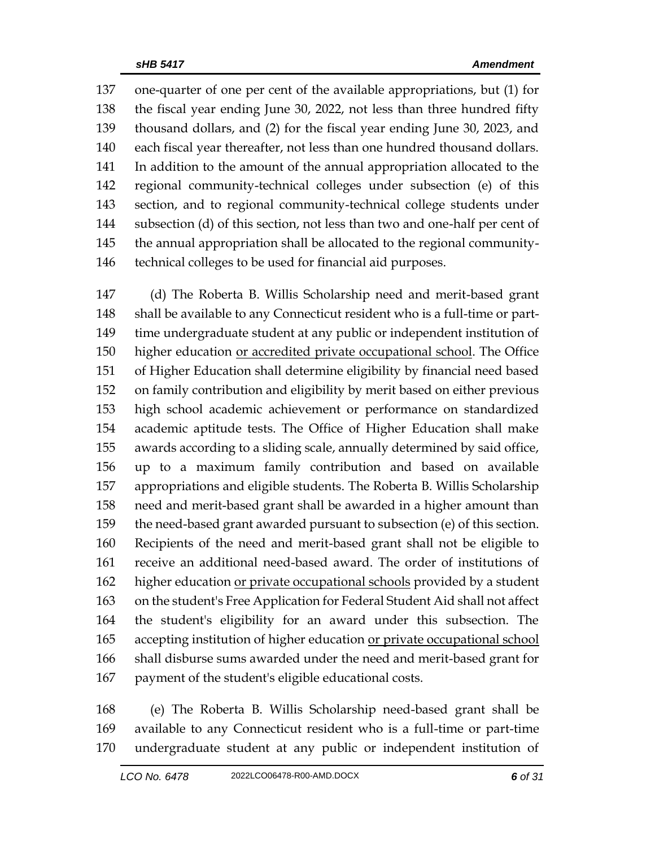one-quarter of one per cent of the available appropriations, but (1) for the fiscal year ending June 30, 2022, not less than three hundred fifty thousand dollars, and (2) for the fiscal year ending June 30, 2023, and each fiscal year thereafter, not less than one hundred thousand dollars. In addition to the amount of the annual appropriation allocated to the regional community-technical colleges under subsection (e) of this section, and to regional community-technical college students under subsection (d) of this section, not less than two and one-half per cent of the annual appropriation shall be allocated to the regional community-technical colleges to be used for financial aid purposes.

 (d) The Roberta B. Willis Scholarship need and merit-based grant shall be available to any Connecticut resident who is a full-time or part- time undergraduate student at any public or independent institution of higher education or accredited private occupational school. The Office of Higher Education shall determine eligibility by financial need based on family contribution and eligibility by merit based on either previous high school academic achievement or performance on standardized academic aptitude tests. The Office of Higher Education shall make awards according to a sliding scale, annually determined by said office, up to a maximum family contribution and based on available appropriations and eligible students. The Roberta B. Willis Scholarship need and merit-based grant shall be awarded in a higher amount than the need-based grant awarded pursuant to subsection (e) of this section. Recipients of the need and merit-based grant shall not be eligible to receive an additional need-based award. The order of institutions of higher education or private occupational schools provided by a student on the student's Free Application for Federal Student Aid shall not affect the student's eligibility for an award under this subsection. The 165 accepting institution of higher education or private occupational school shall disburse sums awarded under the need and merit-based grant for payment of the student's eligible educational costs.

 (e) The Roberta B. Willis Scholarship need-based grant shall be available to any Connecticut resident who is a full-time or part-time undergraduate student at any public or independent institution of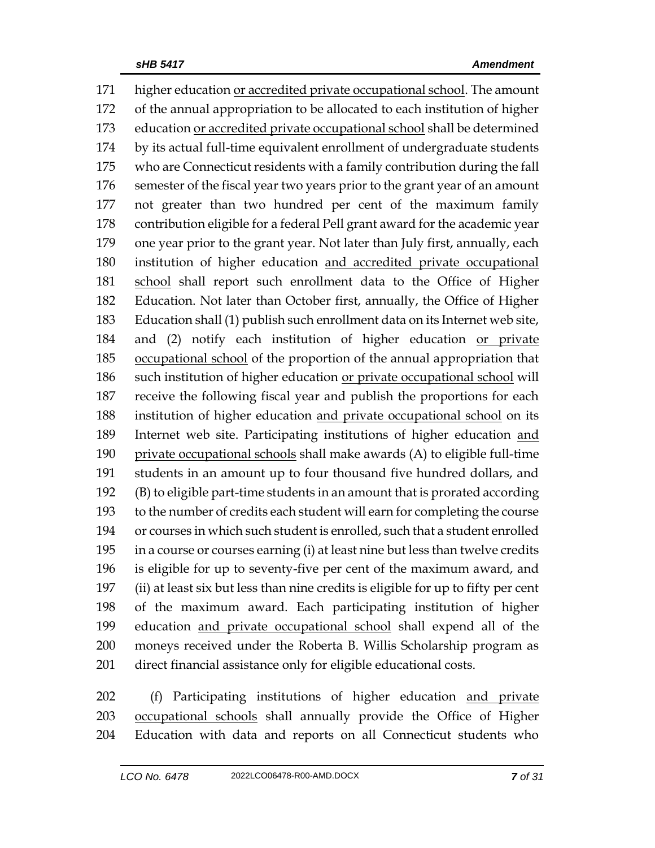higher education or accredited private occupational school. The amount of the annual appropriation to be allocated to each institution of higher education or accredited private occupational school shall be determined by its actual full-time equivalent enrollment of undergraduate students who are Connecticut residents with a family contribution during the fall semester of the fiscal year two years prior to the grant year of an amount not greater than two hundred per cent of the maximum family contribution eligible for a federal Pell grant award for the academic year one year prior to the grant year. Not later than July first, annually, each institution of higher education and accredited private occupational school shall report such enrollment data to the Office of Higher Education. Not later than October first, annually, the Office of Higher Education shall (1) publish such enrollment data on its Internet web site, 184 and (2) notify each institution of higher education or private occupational school of the proportion of the annual appropriation that such institution of higher education or private occupational school will receive the following fiscal year and publish the proportions for each institution of higher education and private occupational school on its Internet web site. Participating institutions of higher education and private occupational schools shall make awards (A) to eligible full-time students in an amount up to four thousand five hundred dollars, and (B) to eligible part-time students in an amount that is prorated according to the number of credits each student will earn for completing the course or courses in which such student is enrolled, such that a student enrolled in a course or courses earning (i) at least nine but less than twelve credits is eligible for up to seventy-five per cent of the maximum award, and (ii) at least six but less than nine credits is eligible for up to fifty per cent of the maximum award. Each participating institution of higher education and private occupational school shall expend all of the moneys received under the Roberta B. Willis Scholarship program as direct financial assistance only for eligible educational costs.

 (f) Participating institutions of higher education and private occupational schools shall annually provide the Office of Higher Education with data and reports on all Connecticut students who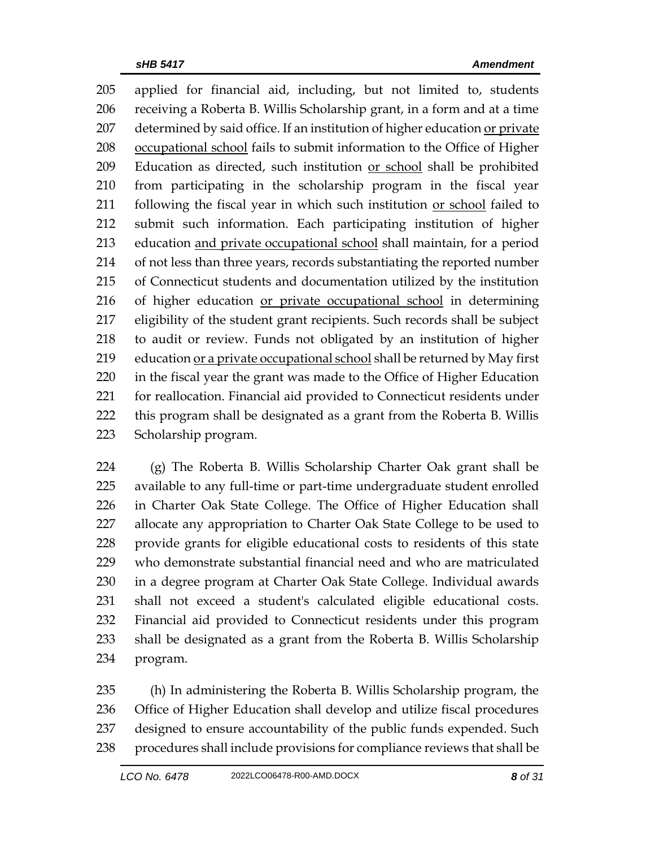applied for financial aid, including, but not limited to, students receiving a Roberta B. Willis Scholarship grant, in a form and at a time determined by said office. If an institution of higher education or private occupational school fails to submit information to the Office of Higher 209 Education as directed, such institution or school shall be prohibited from participating in the scholarship program in the fiscal year 211 following the fiscal year in which such institution or school failed to submit such information. Each participating institution of higher education and private occupational school shall maintain, for a period of not less than three years, records substantiating the reported number of Connecticut students and documentation utilized by the institution 216 of higher education or private occupational school in determining eligibility of the student grant recipients. Such records shall be subject to audit or review. Funds not obligated by an institution of higher 219 education or a private occupational school shall be returned by May first in the fiscal year the grant was made to the Office of Higher Education for reallocation. Financial aid provided to Connecticut residents under this program shall be designated as a grant from the Roberta B. Willis Scholarship program.

 (g) The Roberta B. Willis Scholarship Charter Oak grant shall be available to any full-time or part-time undergraduate student enrolled in Charter Oak State College. The Office of Higher Education shall allocate any appropriation to Charter Oak State College to be used to provide grants for eligible educational costs to residents of this state who demonstrate substantial financial need and who are matriculated in a degree program at Charter Oak State College. Individual awards shall not exceed a student's calculated eligible educational costs. Financial aid provided to Connecticut residents under this program shall be designated as a grant from the Roberta B. Willis Scholarship program.

 (h) In administering the Roberta B. Willis Scholarship program, the Office of Higher Education shall develop and utilize fiscal procedures designed to ensure accountability of the public funds expended. Such procedures shall include provisions for compliance reviews that shall be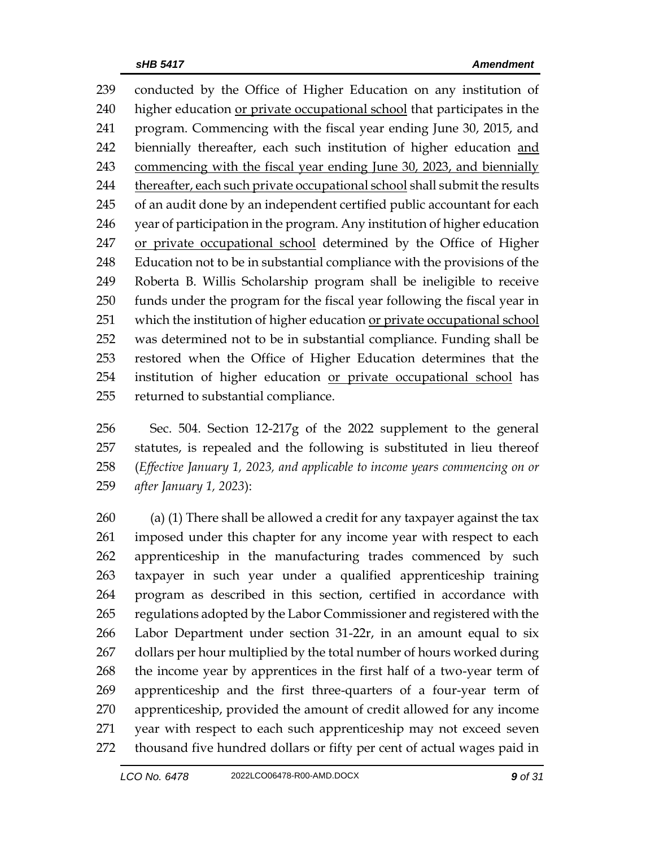conducted by the Office of Higher Education on any institution of higher education or private occupational school that participates in the program. Commencing with the fiscal year ending June 30, 2015, and 242 biennially thereafter, each such institution of higher education and commencing with the fiscal year ending June 30, 2023, and biennially 244 thereafter, each such private occupational school shall submit the results of an audit done by an independent certified public accountant for each year of participation in the program. Any institution of higher education or private occupational school determined by the Office of Higher Education not to be in substantial compliance with the provisions of the Roberta B. Willis Scholarship program shall be ineligible to receive funds under the program for the fiscal year following the fiscal year in 251 which the institution of higher education or private occupational school was determined not to be in substantial compliance. Funding shall be restored when the Office of Higher Education determines that the institution of higher education or private occupational school has returned to substantial compliance.

 Sec. 504. Section 12-217g of the 2022 supplement to the general statutes, is repealed and the following is substituted in lieu thereof (*Effective January 1, 2023, and applicable to income years commencing on or after January 1, 2023*):

 (a) (1) There shall be allowed a credit for any taxpayer against the tax imposed under this chapter for any income year with respect to each apprenticeship in the manufacturing trades commenced by such taxpayer in such year under a qualified apprenticeship training program as described in this section, certified in accordance with regulations adopted by the Labor Commissioner and registered with the Labor Department under section 31-22r, in an amount equal to six 267 dollars per hour multiplied by the total number of hours worked during the income year by apprentices in the first half of a two-year term of apprenticeship and the first three-quarters of a four-year term of apprenticeship, provided the amount of credit allowed for any income year with respect to each such apprenticeship may not exceed seven thousand five hundred dollars or fifty per cent of actual wages paid in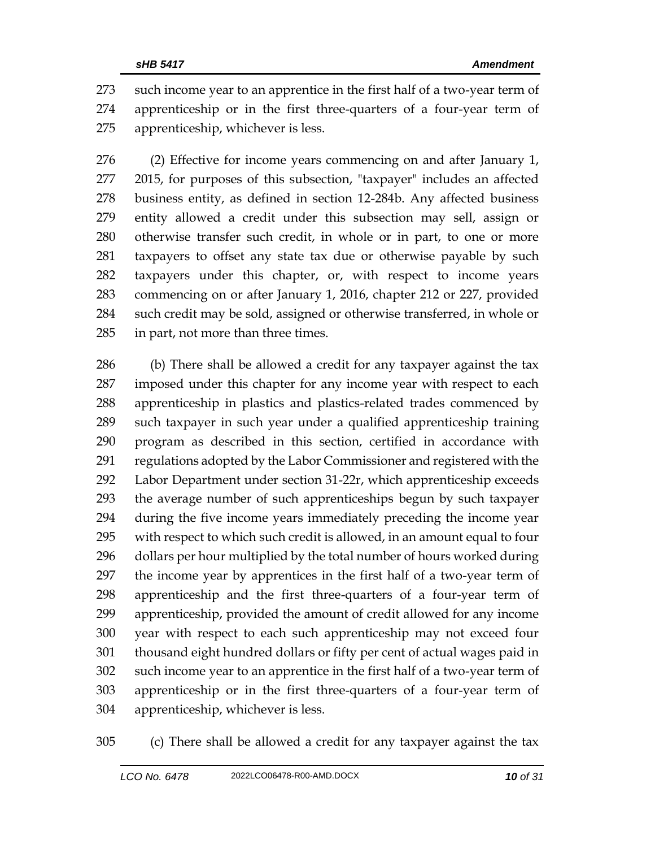such income year to an apprentice in the first half of a two-year term of apprenticeship or in the first three-quarters of a four-year term of apprenticeship, whichever is less.

 (2) Effective for income years commencing on and after January 1, 2015, for purposes of this subsection, "taxpayer" includes an affected business entity, as defined in section 12-284b. Any affected business entity allowed a credit under this subsection may sell, assign or otherwise transfer such credit, in whole or in part, to one or more taxpayers to offset any state tax due or otherwise payable by such taxpayers under this chapter, or, with respect to income years commencing on or after January 1, 2016, chapter 212 or 227, provided such credit may be sold, assigned or otherwise transferred, in whole or in part, not more than three times.

 (b) There shall be allowed a credit for any taxpayer against the tax imposed under this chapter for any income year with respect to each apprenticeship in plastics and plastics-related trades commenced by such taxpayer in such year under a qualified apprenticeship training program as described in this section, certified in accordance with regulations adopted by the Labor Commissioner and registered with the Labor Department under section 31-22r, which apprenticeship exceeds the average number of such apprenticeships begun by such taxpayer during the five income years immediately preceding the income year with respect to which such credit is allowed, in an amount equal to four dollars per hour multiplied by the total number of hours worked during the income year by apprentices in the first half of a two-year term of apprenticeship and the first three-quarters of a four-year term of apprenticeship, provided the amount of credit allowed for any income year with respect to each such apprenticeship may not exceed four thousand eight hundred dollars or fifty per cent of actual wages paid in such income year to an apprentice in the first half of a two-year term of apprenticeship or in the first three-quarters of a four-year term of apprenticeship, whichever is less.

(c) There shall be allowed a credit for any taxpayer against the tax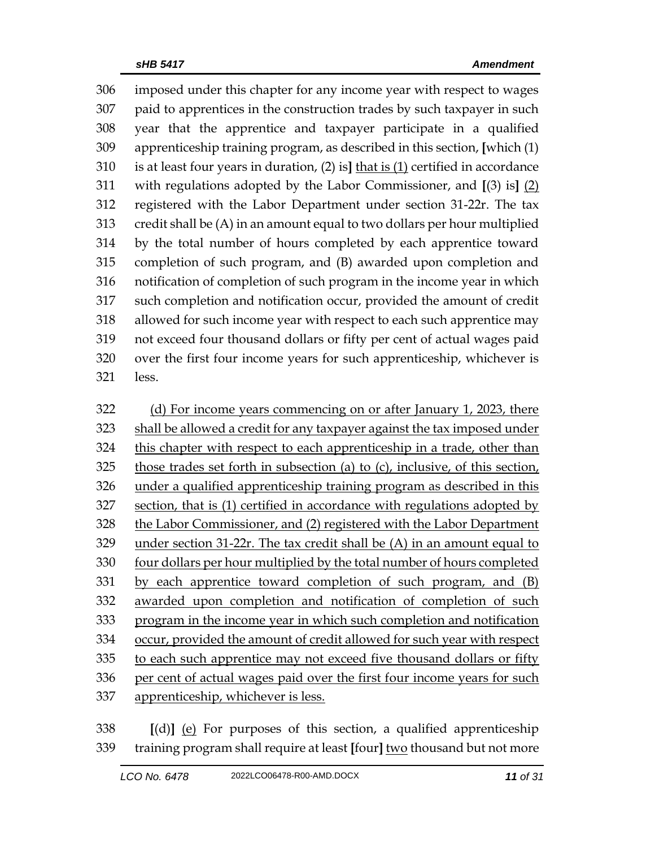imposed under this chapter for any income year with respect to wages paid to apprentices in the construction trades by such taxpayer in such year that the apprentice and taxpayer participate in a qualified apprenticeship training program, as described in this section, **[**which (1) is at least four years in duration, (2) is**]** that is (1) certified in accordance with regulations adopted by the Labor Commissioner, and **[**(3) is**]** (2) registered with the Labor Department under section 31-22r. The tax credit shall be (A) in an amount equal to two dollars per hour multiplied by the total number of hours completed by each apprentice toward completion of such program, and (B) awarded upon completion and notification of completion of such program in the income year in which such completion and notification occur, provided the amount of credit allowed for such income year with respect to each such apprentice may not exceed four thousand dollars or fifty per cent of actual wages paid over the first four income years for such apprenticeship, whichever is less.

322 (d) For income years commencing on or after January 1, 2023, there shall be allowed a credit for any taxpayer against the tax imposed under this chapter with respect to each apprenticeship in a trade, other than those trades set forth in subsection (a) to (c), inclusive, of this section, under a qualified apprenticeship training program as described in this section, that is (1) certified in accordance with regulations adopted by the Labor Commissioner, and (2) registered with the Labor Department under section 31-22r. The tax credit shall be (A) in an amount equal to four dollars per hour multiplied by the total number of hours completed by each apprentice toward completion of such program, and (B) awarded upon completion and notification of completion of such 333 program in the income year in which such completion and notification occur, provided the amount of credit allowed for such year with respect to each such apprentice may not exceed five thousand dollars or fifty per cent of actual wages paid over the first four income years for such apprenticeship, whichever is less.

 **[**(d)**]** (e) For purposes of this section, a qualified apprenticeship training program shall require at least **[**four**]** two thousand but not more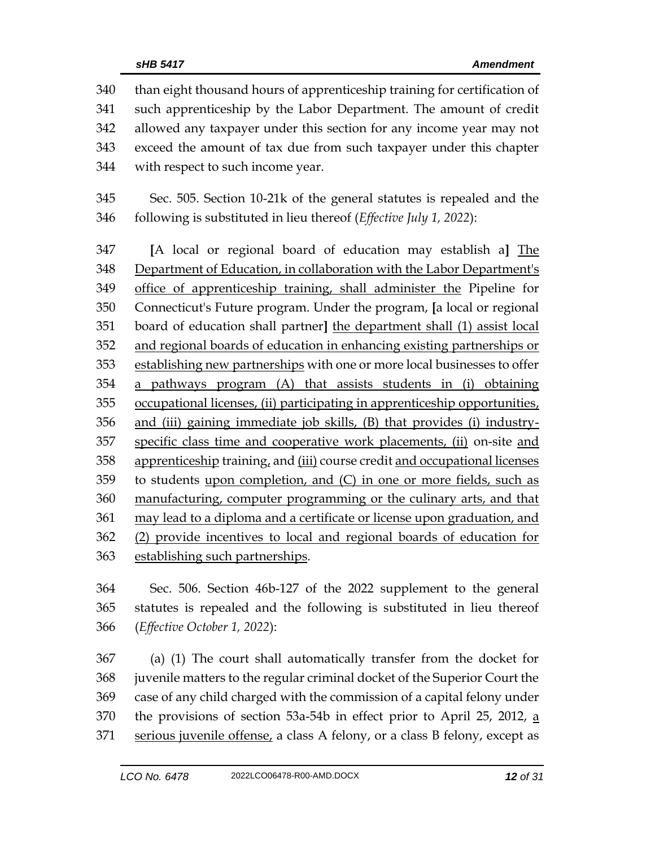than eight thousand hours of apprenticeship training for certification of such apprenticeship by the Labor Department. The amount of credit allowed any taxpayer under this section for any income year may not exceed the amount of tax due from such taxpayer under this chapter with respect to such income year.

 Sec. 505. Section 10-21k of the general statutes is repealed and the following is substituted in lieu thereof (*Effective July 1, 2022*):

 **[**A local or regional board of education may establish a**]** The Department of Education, in collaboration with the Labor Department's office of apprenticeship training, shall administer the Pipeline for Connecticut's Future program. Under the program, **[**a local or regional board of education shall partner**]** the department shall (1) assist local and regional boards of education in enhancing existing partnerships or establishing new partnerships with one or more local businesses to offer a pathways program (A) that assists students in (i) obtaining 355 occupational licenses, (ii) participating in apprenticeship opportunities, and (iii) gaining immediate job skills, (B) that provides (i) industry- specific class time and cooperative work placements, (ii) on-site and apprenticeship training, and (iii) course credit and occupational licenses to students upon completion, and (C) in one or more fields, such as manufacturing, computer programming or the culinary arts, and that may lead to a diploma and a certificate or license upon graduation, and (2) provide incentives to local and regional boards of education for establishing such partnerships.

 Sec. 506. Section 46b-127 of the 2022 supplement to the general statutes is repealed and the following is substituted in lieu thereof (*Effective October 1, 2022*):

 (a) (1) The court shall automatically transfer from the docket for juvenile matters to the regular criminal docket of the Superior Court the case of any child charged with the commission of a capital felony under 370 the provisions of section 53a-54b in effect prior to April 25, 2012, a 371 serious juvenile offense, a class A felony, or a class B felony, except as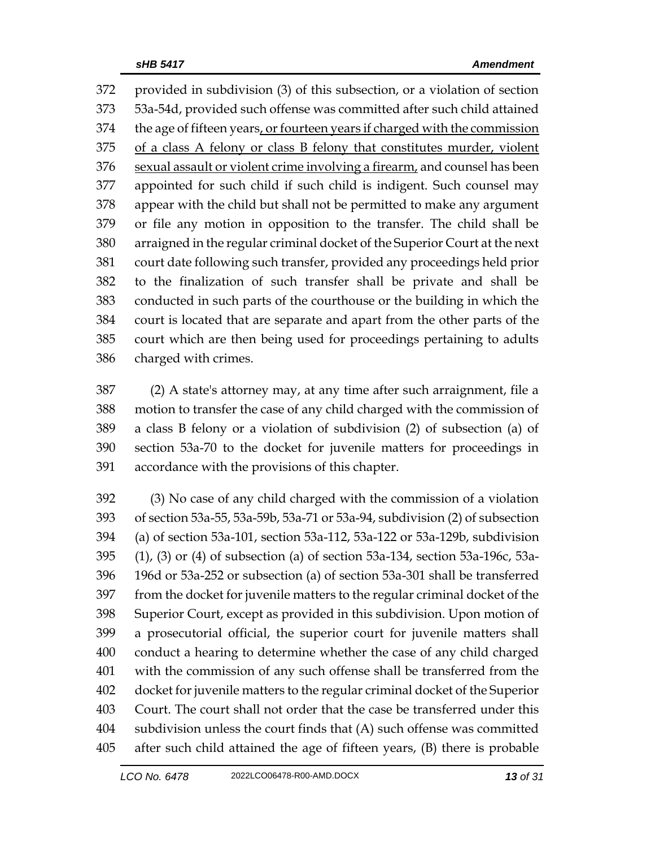provided in subdivision (3) of this subsection, or a violation of section 53a-54d, provided such offense was committed after such child attained 374 the age of fifteen years, or fourteen years if charged with the commission of a class A felony or class B felony that constitutes murder, violent 376 sexual assault or violent crime involving a firearm, and counsel has been appointed for such child if such child is indigent. Such counsel may appear with the child but shall not be permitted to make any argument or file any motion in opposition to the transfer. The child shall be arraigned in the regular criminal docket of the Superior Court at the next court date following such transfer, provided any proceedings held prior to the finalization of such transfer shall be private and shall be conducted in such parts of the courthouse or the building in which the court is located that are separate and apart from the other parts of the court which are then being used for proceedings pertaining to adults charged with crimes.

 (2) A state's attorney may, at any time after such arraignment, file a motion to transfer the case of any child charged with the commission of a class B felony or a violation of subdivision (2) of subsection (a) of section 53a-70 to the docket for juvenile matters for proceedings in accordance with the provisions of this chapter.

 (3) No case of any child charged with the commission of a violation of section 53a-55, 53a-59b, 53a-71 or 53a-94, subdivision (2) of subsection (a) of section 53a-101, section 53a-112, 53a-122 or 53a-129b, subdivision (1), (3) or (4) of subsection (a) of section 53a-134, section 53a-196c, 53a- 196d or 53a-252 or subsection (a) of section 53a-301 shall be transferred from the docket for juvenile matters to the regular criminal docket of the Superior Court, except as provided in this subdivision. Upon motion of a prosecutorial official, the superior court for juvenile matters shall conduct a hearing to determine whether the case of any child charged with the commission of any such offense shall be transferred from the docket for juvenile matters to the regular criminal docket of the Superior Court. The court shall not order that the case be transferred under this subdivision unless the court finds that (A) such offense was committed after such child attained the age of fifteen years, (B) there is probable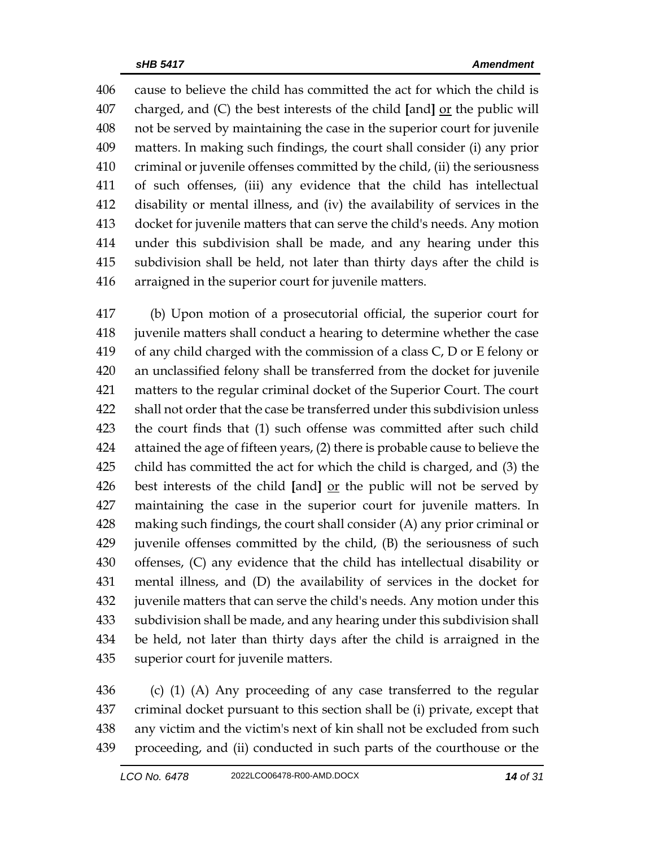cause to believe the child has committed the act for which the child is charged, and (C) the best interests of the child **[**and**]** or the public will not be served by maintaining the case in the superior court for juvenile matters. In making such findings, the court shall consider (i) any prior criminal or juvenile offenses committed by the child, (ii) the seriousness of such offenses, (iii) any evidence that the child has intellectual disability or mental illness, and (iv) the availability of services in the docket for juvenile matters that can serve the child's needs. Any motion under this subdivision shall be made, and any hearing under this subdivision shall be held, not later than thirty days after the child is arraigned in the superior court for juvenile matters.

 (b) Upon motion of a prosecutorial official, the superior court for juvenile matters shall conduct a hearing to determine whether the case of any child charged with the commission of a class C, D or E felony or an unclassified felony shall be transferred from the docket for juvenile matters to the regular criminal docket of the Superior Court. The court shall not order that the case be transferred under this subdivision unless the court finds that (1) such offense was committed after such child attained the age of fifteen years, (2) there is probable cause to believe the child has committed the act for which the child is charged, and (3) the best interests of the child **[**and**]** or the public will not be served by maintaining the case in the superior court for juvenile matters. In making such findings, the court shall consider (A) any prior criminal or juvenile offenses committed by the child, (B) the seriousness of such offenses, (C) any evidence that the child has intellectual disability or mental illness, and (D) the availability of services in the docket for juvenile matters that can serve the child's needs. Any motion under this subdivision shall be made, and any hearing under this subdivision shall be held, not later than thirty days after the child is arraigned in the superior court for juvenile matters.

 (c) (1) (A) Any proceeding of any case transferred to the regular criminal docket pursuant to this section shall be (i) private, except that any victim and the victim's next of kin shall not be excluded from such proceeding, and (ii) conducted in such parts of the courthouse or the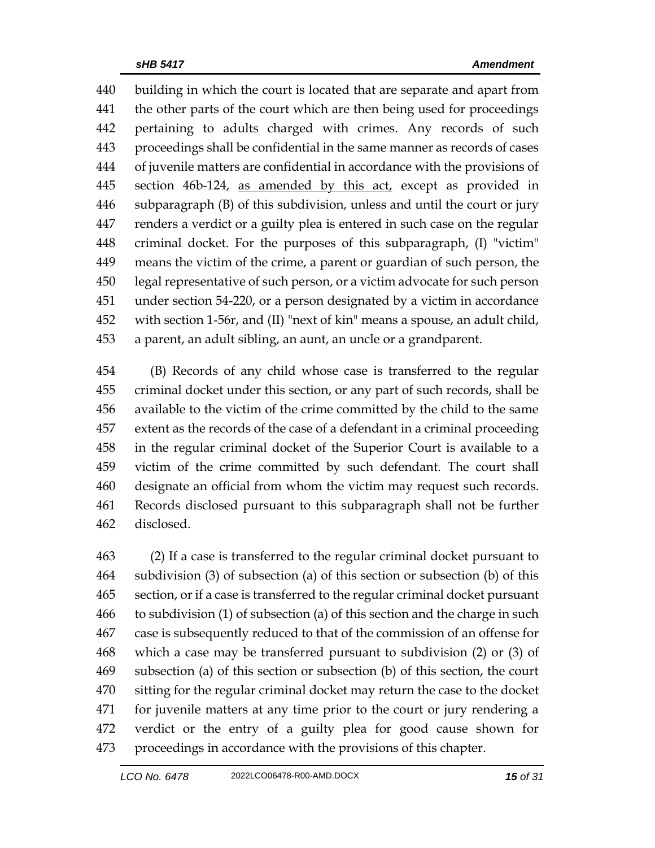building in which the court is located that are separate and apart from the other parts of the court which are then being used for proceedings pertaining to adults charged with crimes. Any records of such proceedings shall be confidential in the same manner as records of cases of juvenile matters are confidential in accordance with the provisions of 445 section 46b-124, as amended by this act, except as provided in subparagraph (B) of this subdivision, unless and until the court or jury renders a verdict or a guilty plea is entered in such case on the regular criminal docket. For the purposes of this subparagraph, (I) "victim" means the victim of the crime, a parent or guardian of such person, the legal representative of such person, or a victim advocate for such person under section 54-220, or a person designated by a victim in accordance with section 1-56r, and (II) "next of kin" means a spouse, an adult child, a parent, an adult sibling, an aunt, an uncle or a grandparent.

 (B) Records of any child whose case is transferred to the regular criminal docket under this section, or any part of such records, shall be available to the victim of the crime committed by the child to the same extent as the records of the case of a defendant in a criminal proceeding in the regular criminal docket of the Superior Court is available to a victim of the crime committed by such defendant. The court shall designate an official from whom the victim may request such records. Records disclosed pursuant to this subparagraph shall not be further disclosed.

 (2) If a case is transferred to the regular criminal docket pursuant to subdivision (3) of subsection (a) of this section or subsection (b) of this section, or if a case is transferred to the regular criminal docket pursuant to subdivision (1) of subsection (a) of this section and the charge in such case is subsequently reduced to that of the commission of an offense for which a case may be transferred pursuant to subdivision (2) or (3) of subsection (a) of this section or subsection (b) of this section, the court sitting for the regular criminal docket may return the case to the docket for juvenile matters at any time prior to the court or jury rendering a verdict or the entry of a guilty plea for good cause shown for proceedings in accordance with the provisions of this chapter.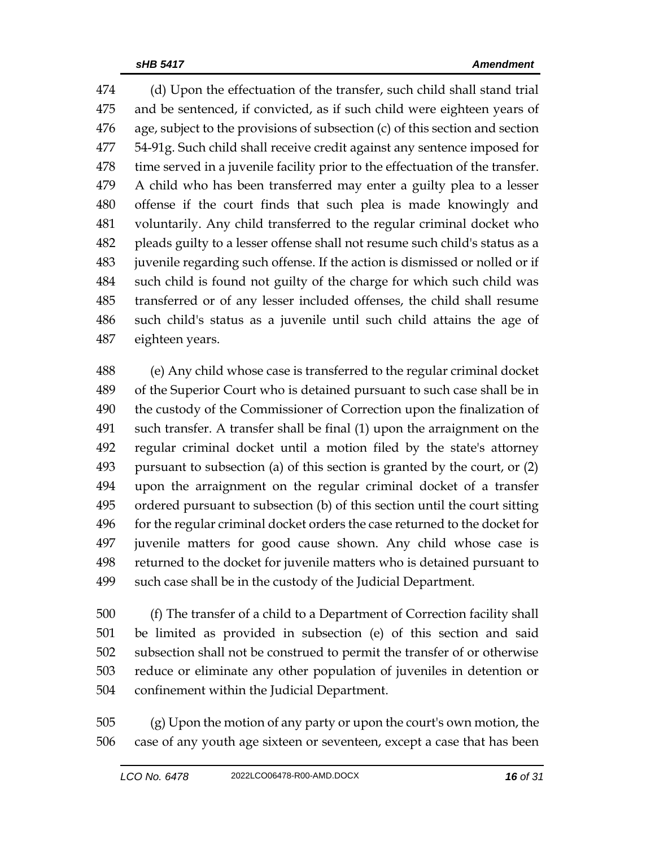(d) Upon the effectuation of the transfer, such child shall stand trial and be sentenced, if convicted, as if such child were eighteen years of age, subject to the provisions of subsection (c) of this section and section 54-91g. Such child shall receive credit against any sentence imposed for time served in a juvenile facility prior to the effectuation of the transfer. A child who has been transferred may enter a guilty plea to a lesser offense if the court finds that such plea is made knowingly and voluntarily. Any child transferred to the regular criminal docket who pleads guilty to a lesser offense shall not resume such child's status as a juvenile regarding such offense. If the action is dismissed or nolled or if such child is found not guilty of the charge for which such child was transferred or of any lesser included offenses, the child shall resume such child's status as a juvenile until such child attains the age of eighteen years.

 (e) Any child whose case is transferred to the regular criminal docket of the Superior Court who is detained pursuant to such case shall be in the custody of the Commissioner of Correction upon the finalization of such transfer. A transfer shall be final (1) upon the arraignment on the regular criminal docket until a motion filed by the state's attorney pursuant to subsection (a) of this section is granted by the court, or (2) upon the arraignment on the regular criminal docket of a transfer ordered pursuant to subsection (b) of this section until the court sitting for the regular criminal docket orders the case returned to the docket for juvenile matters for good cause shown. Any child whose case is returned to the docket for juvenile matters who is detained pursuant to such case shall be in the custody of the Judicial Department.

 (f) The transfer of a child to a Department of Correction facility shall be limited as provided in subsection (e) of this section and said subsection shall not be construed to permit the transfer of or otherwise reduce or eliminate any other population of juveniles in detention or confinement within the Judicial Department.

 (g) Upon the motion of any party or upon the court's own motion, the case of any youth age sixteen or seventeen, except a case that has been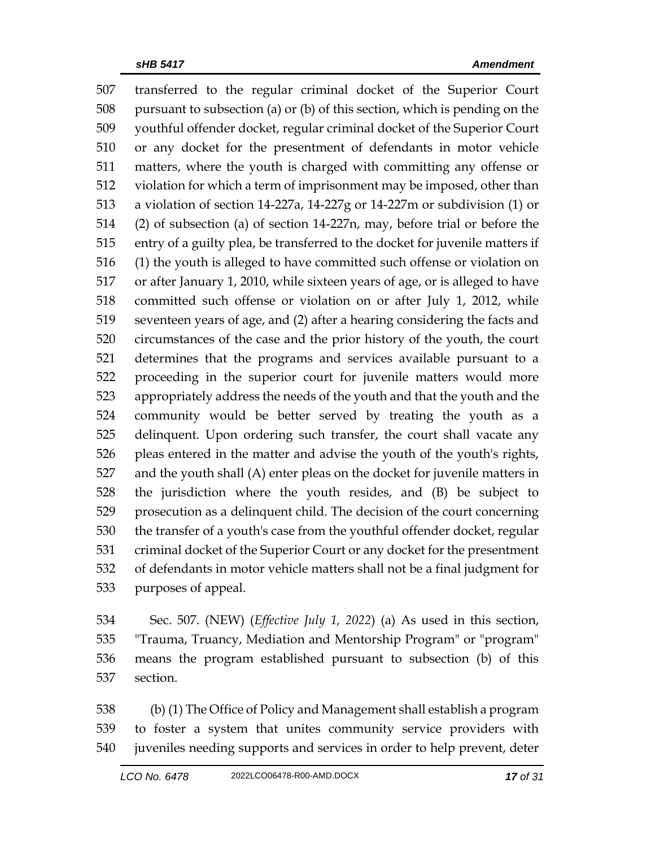transferred to the regular criminal docket of the Superior Court pursuant to subsection (a) or (b) of this section, which is pending on the youthful offender docket, regular criminal docket of the Superior Court or any docket for the presentment of defendants in motor vehicle matters, where the youth is charged with committing any offense or violation for which a term of imprisonment may be imposed, other than a violation of section 14-227a, 14-227g or 14-227m or subdivision (1) or (2) of subsection (a) of section 14-227n, may, before trial or before the entry of a guilty plea, be transferred to the docket for juvenile matters if (1) the youth is alleged to have committed such offense or violation on or after January 1, 2010, while sixteen years of age, or is alleged to have committed such offense or violation on or after July 1, 2012, while seventeen years of age, and (2) after a hearing considering the facts and circumstances of the case and the prior history of the youth, the court determines that the programs and services available pursuant to a proceeding in the superior court for juvenile matters would more appropriately address the needs of the youth and that the youth and the community would be better served by treating the youth as a delinquent. Upon ordering such transfer, the court shall vacate any pleas entered in the matter and advise the youth of the youth's rights, and the youth shall (A) enter pleas on the docket for juvenile matters in the jurisdiction where the youth resides, and (B) be subject to prosecution as a delinquent child. The decision of the court concerning the transfer of a youth's case from the youthful offender docket, regular criminal docket of the Superior Court or any docket for the presentment of defendants in motor vehicle matters shall not be a final judgment for purposes of appeal.

 Sec. 507. (NEW) (*Effective July 1, 2022*) (a) As used in this section, "Trauma, Truancy, Mediation and Mentorship Program" or "program" means the program established pursuant to subsection (b) of this section.

 (b) (1) The Office of Policy and Management shall establish a program to foster a system that unites community service providers with juveniles needing supports and services in order to help prevent, deter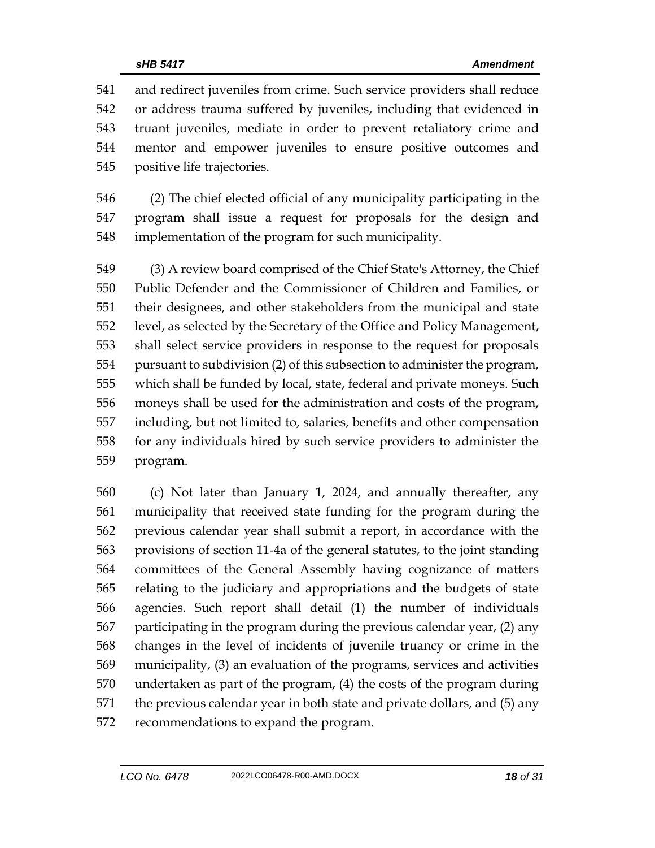and redirect juveniles from crime. Such service providers shall reduce or address trauma suffered by juveniles, including that evidenced in truant juveniles, mediate in order to prevent retaliatory crime and mentor and empower juveniles to ensure positive outcomes and positive life trajectories.

 (2) The chief elected official of any municipality participating in the program shall issue a request for proposals for the design and implementation of the program for such municipality.

 (3) A review board comprised of the Chief State's Attorney, the Chief Public Defender and the Commissioner of Children and Families, or their designees, and other stakeholders from the municipal and state level, as selected by the Secretary of the Office and Policy Management, shall select service providers in response to the request for proposals pursuant to subdivision (2) of this subsection to administer the program, which shall be funded by local, state, federal and private moneys. Such moneys shall be used for the administration and costs of the program, including, but not limited to, salaries, benefits and other compensation for any individuals hired by such service providers to administer the program.

 (c) Not later than January 1, 2024, and annually thereafter, any municipality that received state funding for the program during the previous calendar year shall submit a report, in accordance with the provisions of section 11-4a of the general statutes, to the joint standing committees of the General Assembly having cognizance of matters relating to the judiciary and appropriations and the budgets of state agencies. Such report shall detail (1) the number of individuals participating in the program during the previous calendar year, (2) any changes in the level of incidents of juvenile truancy or crime in the municipality, (3) an evaluation of the programs, services and activities undertaken as part of the program, (4) the costs of the program during the previous calendar year in both state and private dollars, and (5) any recommendations to expand the program.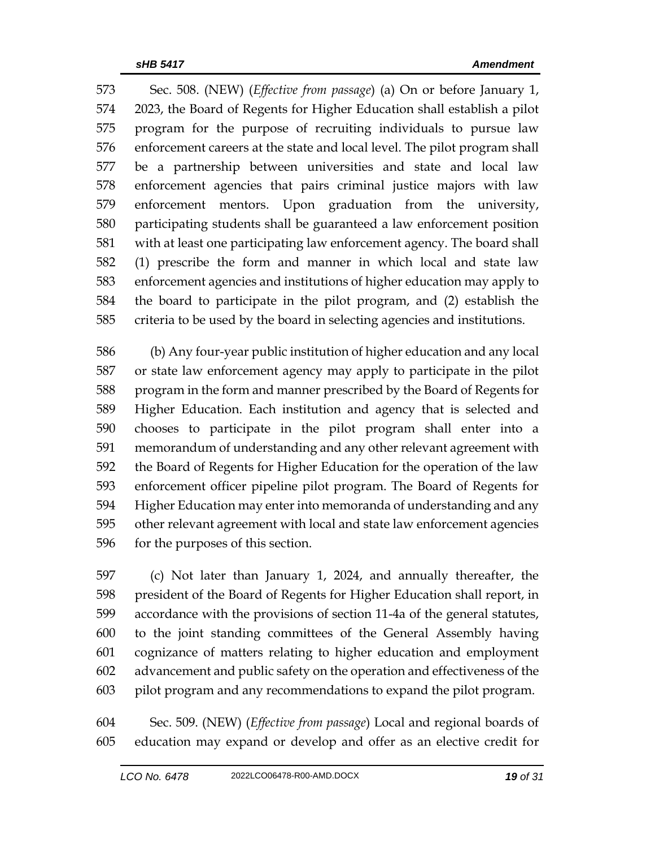Sec. 508. (NEW) (*Effective from passage*) (a) On or before January 1, 2023, the Board of Regents for Higher Education shall establish a pilot program for the purpose of recruiting individuals to pursue law enforcement careers at the state and local level. The pilot program shall be a partnership between universities and state and local law enforcement agencies that pairs criminal justice majors with law enforcement mentors. Upon graduation from the university, participating students shall be guaranteed a law enforcement position with at least one participating law enforcement agency. The board shall (1) prescribe the form and manner in which local and state law enforcement agencies and institutions of higher education may apply to the board to participate in the pilot program, and (2) establish the criteria to be used by the board in selecting agencies and institutions.

 (b) Any four-year public institution of higher education and any local or state law enforcement agency may apply to participate in the pilot program in the form and manner prescribed by the Board of Regents for Higher Education. Each institution and agency that is selected and chooses to participate in the pilot program shall enter into a memorandum of understanding and any other relevant agreement with the Board of Regents for Higher Education for the operation of the law enforcement officer pipeline pilot program. The Board of Regents for Higher Education may enter into memoranda of understanding and any other relevant agreement with local and state law enforcement agencies for the purposes of this section.

 (c) Not later than January 1, 2024, and annually thereafter, the president of the Board of Regents for Higher Education shall report, in accordance with the provisions of section 11-4a of the general statutes, to the joint standing committees of the General Assembly having cognizance of matters relating to higher education and employment advancement and public safety on the operation and effectiveness of the pilot program and any recommendations to expand the pilot program.

 Sec. 509. (NEW) (*Effective from passage*) Local and regional boards of education may expand or develop and offer as an elective credit for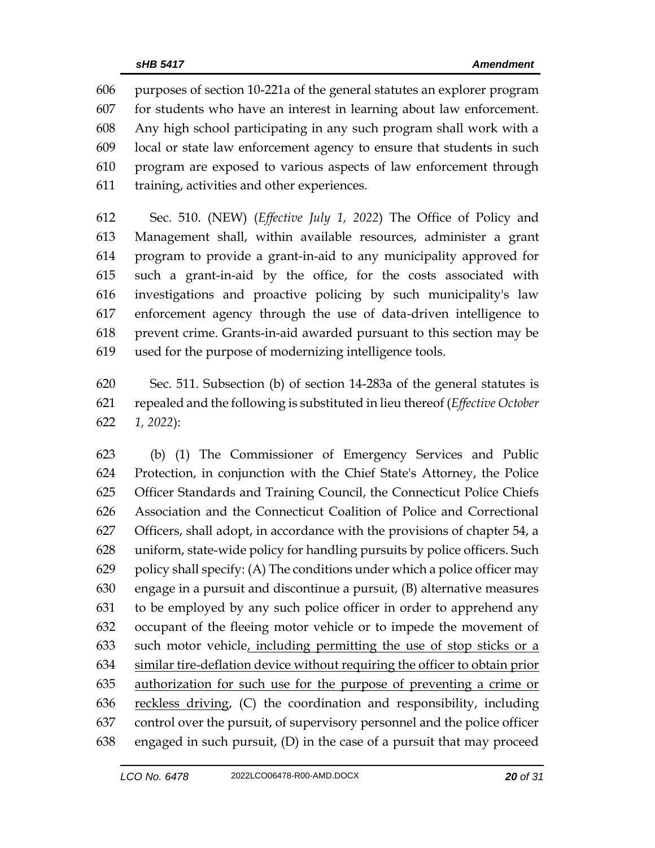purposes of section 10-221a of the general statutes an explorer program for students who have an interest in learning about law enforcement. Any high school participating in any such program shall work with a local or state law enforcement agency to ensure that students in such program are exposed to various aspects of law enforcement through training, activities and other experiences.

 Sec. 510. (NEW) (*Effective July 1, 2022*) The Office of Policy and Management shall, within available resources, administer a grant program to provide a grant-in-aid to any municipality approved for such a grant-in-aid by the office, for the costs associated with investigations and proactive policing by such municipality's law enforcement agency through the use of data-driven intelligence to prevent crime. Grants-in-aid awarded pursuant to this section may be used for the purpose of modernizing intelligence tools.

 Sec. 511. Subsection (b) of section 14-283a of the general statutes is repealed and the following is substituted in lieu thereof (*Effective October 1, 2022*):

 (b) (1) The Commissioner of Emergency Services and Public Protection, in conjunction with the Chief State's Attorney, the Police Officer Standards and Training Council, the Connecticut Police Chiefs Association and the Connecticut Coalition of Police and Correctional Officers, shall adopt, in accordance with the provisions of chapter 54, a uniform, state-wide policy for handling pursuits by police officers. Such 629 policy shall specify: (A) The conditions under which a police officer may engage in a pursuit and discontinue a pursuit, (B) alternative measures to be employed by any such police officer in order to apprehend any occupant of the fleeing motor vehicle or to impede the movement of such motor vehicle, including permitting the use of stop sticks or a similar tire-deflation device without requiring the officer to obtain prior authorization for such use for the purpose of preventing a crime or 636 reckless driving, (C) the coordination and responsibility, including control over the pursuit, of supervisory personnel and the police officer engaged in such pursuit, (D) in the case of a pursuit that may proceed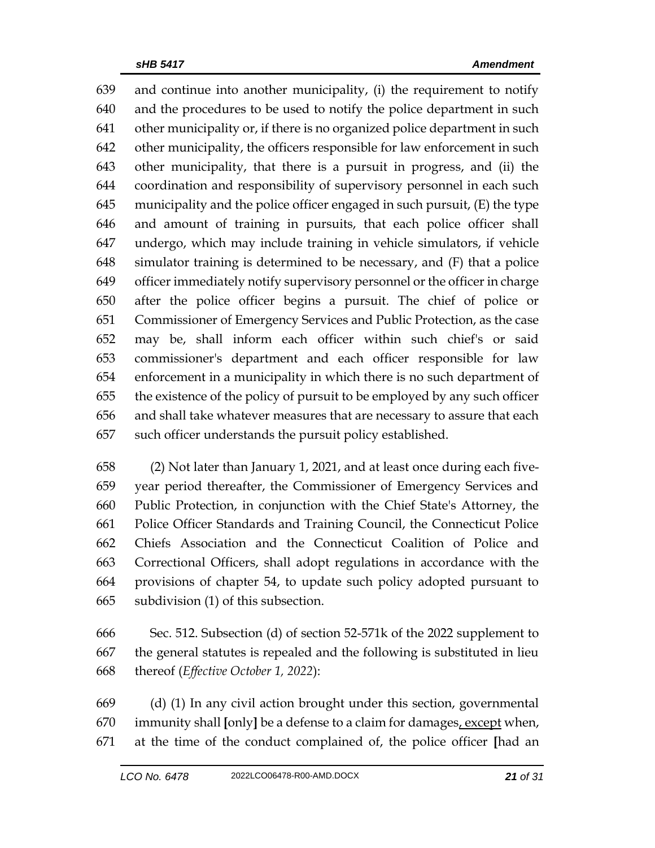and continue into another municipality, (i) the requirement to notify and the procedures to be used to notify the police department in such other municipality or, if there is no organized police department in such other municipality, the officers responsible for law enforcement in such other municipality, that there is a pursuit in progress, and (ii) the coordination and responsibility of supervisory personnel in each such municipality and the police officer engaged in such pursuit, (E) the type and amount of training in pursuits, that each police officer shall undergo, which may include training in vehicle simulators, if vehicle simulator training is determined to be necessary, and (F) that a police officer immediately notify supervisory personnel or the officer in charge after the police officer begins a pursuit. The chief of police or Commissioner of Emergency Services and Public Protection, as the case may be, shall inform each officer within such chief's or said commissioner's department and each officer responsible for law enforcement in a municipality in which there is no such department of the existence of the policy of pursuit to be employed by any such officer and shall take whatever measures that are necessary to assure that each such officer understands the pursuit policy established.

 (2) Not later than January 1, 2021, and at least once during each five- year period thereafter, the Commissioner of Emergency Services and Public Protection, in conjunction with the Chief State's Attorney, the Police Officer Standards and Training Council, the Connecticut Police Chiefs Association and the Connecticut Coalition of Police and Correctional Officers, shall adopt regulations in accordance with the provisions of chapter 54, to update such policy adopted pursuant to subdivision (1) of this subsection.

 Sec. 512. Subsection (d) of section 52-571k of the 2022 supplement to the general statutes is repealed and the following is substituted in lieu thereof (*Effective October 1, 2022*):

 (d) (1) In any civil action brought under this section, governmental immunity shall **[**only**]** be a defense to a claim for damages, except when, at the time of the conduct complained of, the police officer **[**had an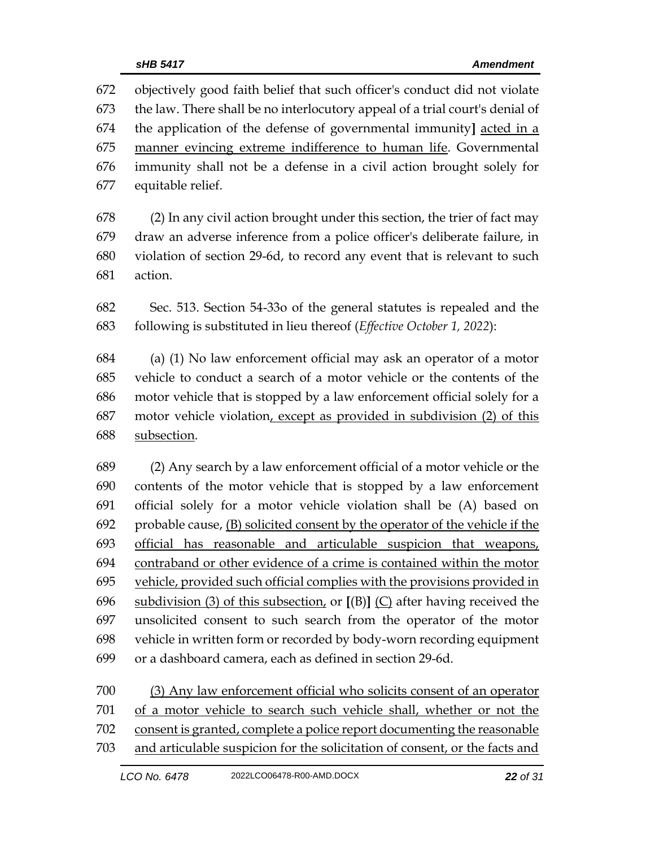objectively good faith belief that such officer's conduct did not violate the law. There shall be no interlocutory appeal of a trial court's denial of the application of the defense of governmental immunity**]** acted in a manner evincing extreme indifference to human life. Governmental immunity shall not be a defense in a civil action brought solely for equitable relief.

 (2) In any civil action brought under this section, the trier of fact may draw an adverse inference from a police officer's deliberate failure, in violation of section 29-6d, to record any event that is relevant to such action.

 Sec. 513. Section 54-33o of the general statutes is repealed and the following is substituted in lieu thereof (*Effective October 1, 2022*):

 (a) (1) No law enforcement official may ask an operator of a motor vehicle to conduct a search of a motor vehicle or the contents of the motor vehicle that is stopped by a law enforcement official solely for a motor vehicle violation, except as provided in subdivision (2) of this subsection.

 (2) Any search by a law enforcement official of a motor vehicle or the contents of the motor vehicle that is stopped by a law enforcement official solely for a motor vehicle violation shall be (A) based on probable cause, (B) solicited consent by the operator of the vehicle if the official has reasonable and articulable suspicion that weapons, contraband or other evidence of a crime is contained within the motor vehicle, provided such official complies with the provisions provided in subdivision (3) of this subsection, or **[**(B)**]** (C) after having received the unsolicited consent to such search from the operator of the motor vehicle in written form or recorded by body-worn recording equipment or a dashboard camera, each as defined in section 29-6d.

 (3) Any law enforcement official who solicits consent of an operator of a motor vehicle to search such vehicle shall, whether or not the consent is granted, complete a police report documenting the reasonable and articulable suspicion for the solicitation of consent, or the facts and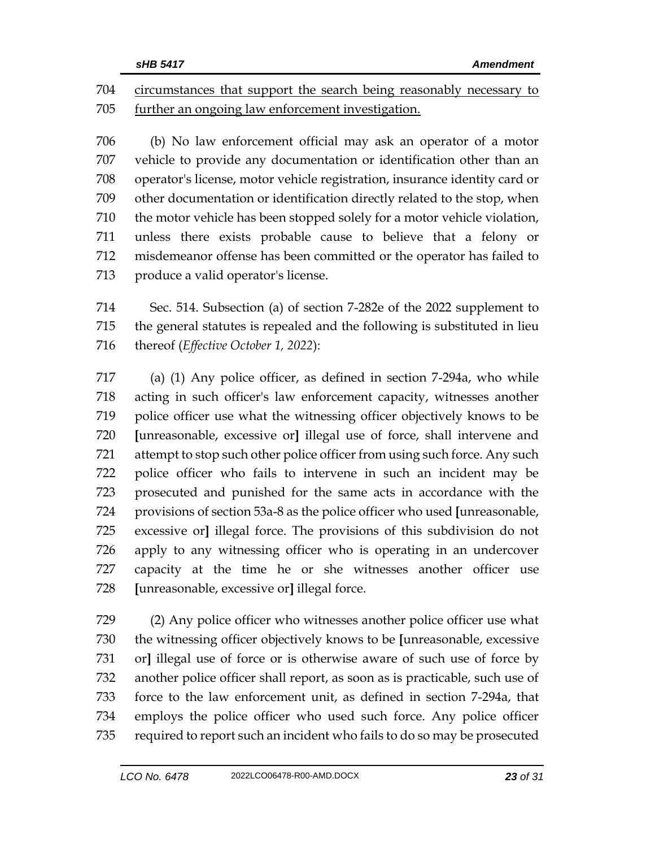circumstances that support the search being reasonably necessary to further an ongoing law enforcement investigation.

 (b) No law enforcement official may ask an operator of a motor vehicle to provide any documentation or identification other than an operator's license, motor vehicle registration, insurance identity card or other documentation or identification directly related to the stop, when the motor vehicle has been stopped solely for a motor vehicle violation, unless there exists probable cause to believe that a felony or misdemeanor offense has been committed or the operator has failed to produce a valid operator's license.

 Sec. 514. Subsection (a) of section 7-282e of the 2022 supplement to the general statutes is repealed and the following is substituted in lieu thereof (*Effective October 1, 2022*):

 (a) (1) Any police officer, as defined in section 7-294a, who while acting in such officer's law enforcement capacity, witnesses another police officer use what the witnessing officer objectively knows to be **[**unreasonable, excessive or**]** illegal use of force, shall intervene and attempt to stop such other police officer from using such force. Any such police officer who fails to intervene in such an incident may be prosecuted and punished for the same acts in accordance with the provisions of section 53a-8 as the police officer who used **[**unreasonable, excessive or**]** illegal force. The provisions of this subdivision do not apply to any witnessing officer who is operating in an undercover capacity at the time he or she witnesses another officer use **[**unreasonable, excessive or**]** illegal force.

 (2) Any police officer who witnesses another police officer use what the witnessing officer objectively knows to be **[**unreasonable, excessive or**]** illegal use of force or is otherwise aware of such use of force by another police officer shall report, as soon as is practicable, such use of force to the law enforcement unit, as defined in section 7-294a, that employs the police officer who used such force. Any police officer required to report such an incident who fails to do so may be prosecuted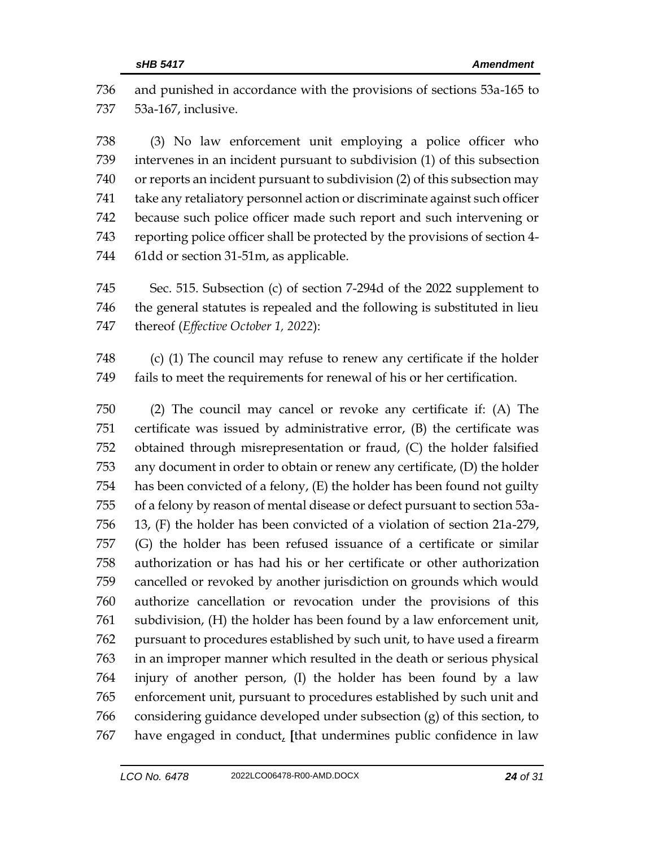and punished in accordance with the provisions of sections 53a-165 to 53a-167, inclusive.

 (3) No law enforcement unit employing a police officer who intervenes in an incident pursuant to subdivision (1) of this subsection or reports an incident pursuant to subdivision (2) of this subsection may take any retaliatory personnel action or discriminate against such officer because such police officer made such report and such intervening or reporting police officer shall be protected by the provisions of section 4- 61dd or section 31-51m, as applicable.

 Sec. 515. Subsection (c) of section 7-294d of the 2022 supplement to the general statutes is repealed and the following is substituted in lieu thereof (*Effective October 1, 2022*):

 (c) (1) The council may refuse to renew any certificate if the holder fails to meet the requirements for renewal of his or her certification.

 (2) The council may cancel or revoke any certificate if: (A) The certificate was issued by administrative error, (B) the certificate was obtained through misrepresentation or fraud, (C) the holder falsified any document in order to obtain or renew any certificate, (D) the holder has been convicted of a felony, (E) the holder has been found not guilty of a felony by reason of mental disease or defect pursuant to section 53a- 13, (F) the holder has been convicted of a violation of section 21a-279, (G) the holder has been refused issuance of a certificate or similar authorization or has had his or her certificate or other authorization cancelled or revoked by another jurisdiction on grounds which would authorize cancellation or revocation under the provisions of this subdivision, (H) the holder has been found by a law enforcement unit, pursuant to procedures established by such unit, to have used a firearm in an improper manner which resulted in the death or serious physical injury of another person, (I) the holder has been found by a law enforcement unit, pursuant to procedures established by such unit and considering guidance developed under subsection (g) of this section, to have engaged in conduct, **[**that undermines public confidence in law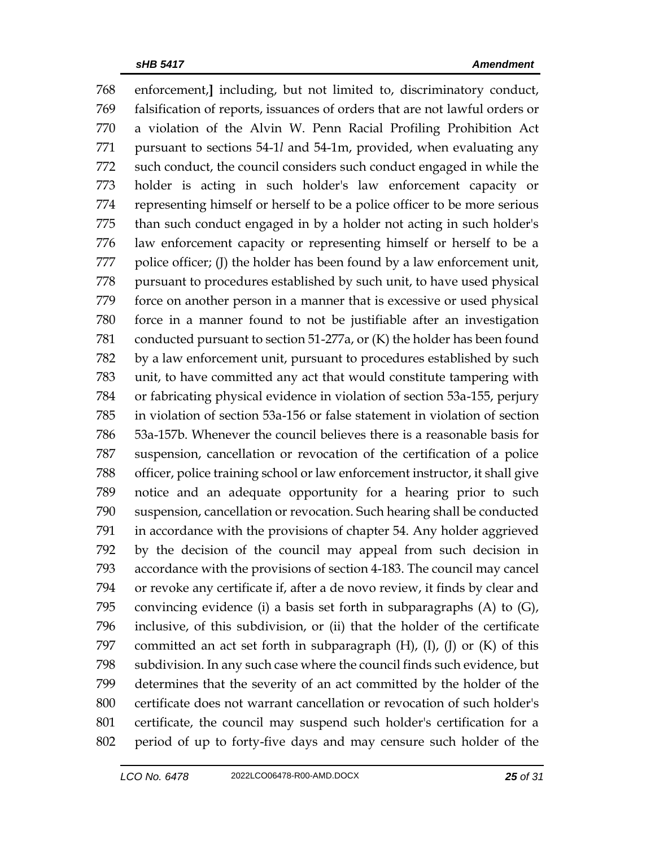enforcement,**]** including, but not limited to, discriminatory conduct, falsification of reports, issuances of orders that are not lawful orders or a violation of the Alvin W. Penn Racial Profiling Prohibition Act pursuant to sections 54-1*l* and 54-1m, provided, when evaluating any such conduct, the council considers such conduct engaged in while the holder is acting in such holder's law enforcement capacity or representing himself or herself to be a police officer to be more serious than such conduct engaged in by a holder not acting in such holder's law enforcement capacity or representing himself or herself to be a 777 police officer; (I) the holder has been found by a law enforcement unit, pursuant to procedures established by such unit, to have used physical force on another person in a manner that is excessive or used physical force in a manner found to not be justifiable after an investigation conducted pursuant to section 51-277a, or (K) the holder has been found by a law enforcement unit, pursuant to procedures established by such unit, to have committed any act that would constitute tampering with or fabricating physical evidence in violation of section 53a-155, perjury in violation of section 53a-156 or false statement in violation of section 53a-157b. Whenever the council believes there is a reasonable basis for suspension, cancellation or revocation of the certification of a police officer, police training school or law enforcement instructor, it shall give notice and an adequate opportunity for a hearing prior to such suspension, cancellation or revocation. Such hearing shall be conducted in accordance with the provisions of chapter 54. Any holder aggrieved by the decision of the council may appeal from such decision in accordance with the provisions of section 4-183. The council may cancel or revoke any certificate if, after a de novo review, it finds by clear and convincing evidence (i) a basis set forth in subparagraphs (A) to (G), inclusive, of this subdivision, or (ii) that the holder of the certificate 797 committed an act set forth in subparagraph  $(H)$ ,  $(I)$ ,  $(J)$  or  $(K)$  of this subdivision. In any such case where the council finds such evidence, but determines that the severity of an act committed by the holder of the certificate does not warrant cancellation or revocation of such holder's certificate, the council may suspend such holder's certification for a period of up to forty-five days and may censure such holder of the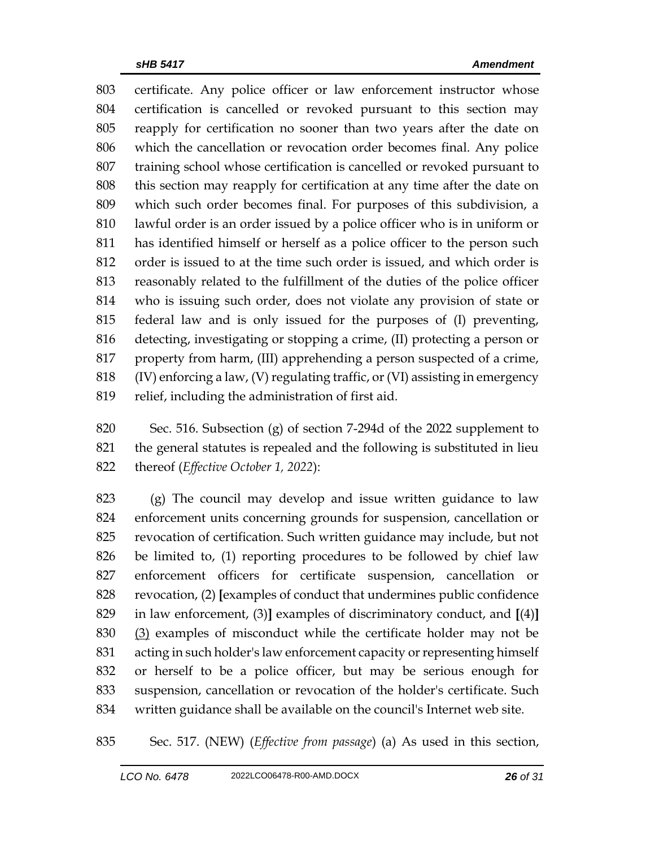certificate. Any police officer or law enforcement instructor whose certification is cancelled or revoked pursuant to this section may reapply for certification no sooner than two years after the date on which the cancellation or revocation order becomes final. Any police training school whose certification is cancelled or revoked pursuant to this section may reapply for certification at any time after the date on which such order becomes final. For purposes of this subdivision, a lawful order is an order issued by a police officer who is in uniform or has identified himself or herself as a police officer to the person such order is issued to at the time such order is issued, and which order is reasonably related to the fulfillment of the duties of the police officer who is issuing such order, does not violate any provision of state or federal law and is only issued for the purposes of (I) preventing, detecting, investigating or stopping a crime, (II) protecting a person or property from harm, (III) apprehending a person suspected of a crime, (IV) enforcing a law, (V) regulating traffic, or (VI) assisting in emergency relief, including the administration of first aid.

 Sec. 516. Subsection (g) of section 7-294d of the 2022 supplement to the general statutes is repealed and the following is substituted in lieu thereof (*Effective October 1, 2022*):

 (g) The council may develop and issue written guidance to law enforcement units concerning grounds for suspension, cancellation or revocation of certification. Such written guidance may include, but not be limited to, (1) reporting procedures to be followed by chief law enforcement officers for certificate suspension, cancellation or revocation, (2) **[**examples of conduct that undermines public confidence in law enforcement, (3)**]** examples of discriminatory conduct, and **[**(4)**]** (3) examples of misconduct while the certificate holder may not be acting in such holder's law enforcement capacity or representing himself or herself to be a police officer, but may be serious enough for suspension, cancellation or revocation of the holder's certificate. Such written guidance shall be available on the council's Internet web site.

Sec. 517. (NEW) (*Effective from passage*) (a) As used in this section,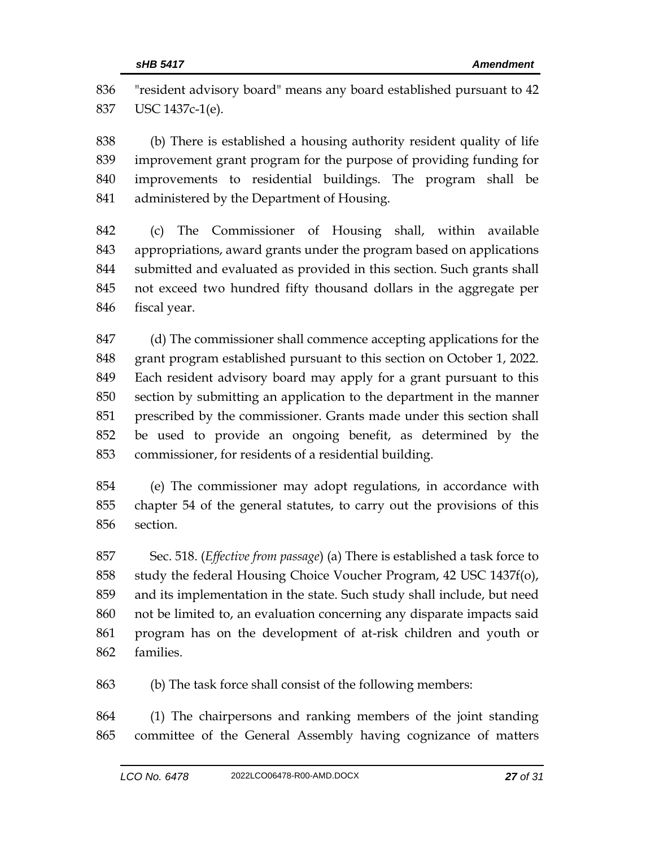"resident advisory board" means any board established pursuant to 42 USC 1437c-1(e).

 (b) There is established a housing authority resident quality of life improvement grant program for the purpose of providing funding for improvements to residential buildings. The program shall be administered by the Department of Housing.

 (c) The Commissioner of Housing shall, within available appropriations, award grants under the program based on applications submitted and evaluated as provided in this section. Such grants shall not exceed two hundred fifty thousand dollars in the aggregate per fiscal year.

 (d) The commissioner shall commence accepting applications for the grant program established pursuant to this section on October 1, 2022. Each resident advisory board may apply for a grant pursuant to this section by submitting an application to the department in the manner prescribed by the commissioner. Grants made under this section shall be used to provide an ongoing benefit, as determined by the commissioner, for residents of a residential building.

 (e) The commissioner may adopt regulations, in accordance with chapter 54 of the general statutes, to carry out the provisions of this section.

 Sec. 518. (*Effective from passage*) (a) There is established a task force to study the federal Housing Choice Voucher Program, 42 USC 1437f(o), and its implementation in the state. Such study shall include, but need not be limited to, an evaluation concerning any disparate impacts said program has on the development of at-risk children and youth or families.

(b) The task force shall consist of the following members:

 (1) The chairpersons and ranking members of the joint standing committee of the General Assembly having cognizance of matters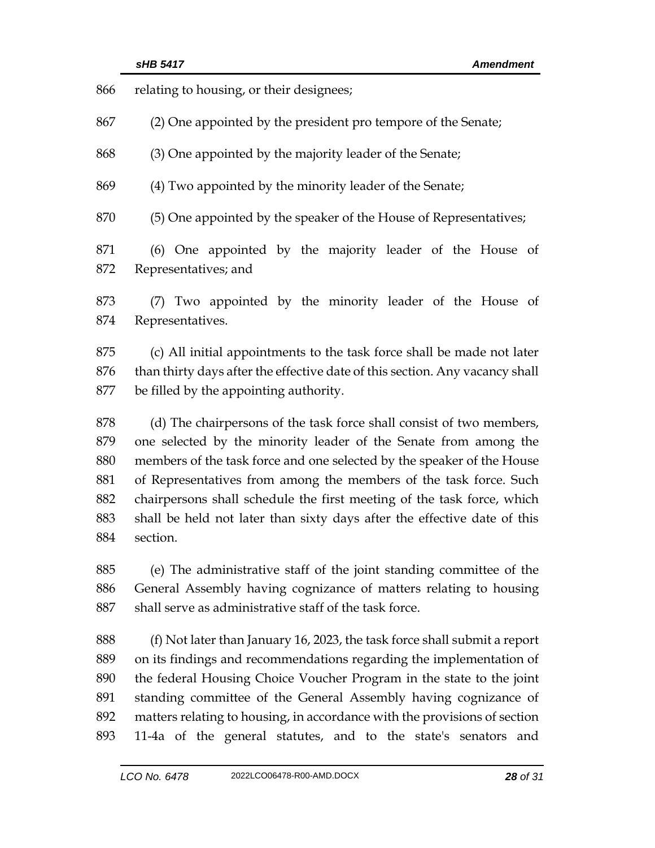| 866 | relating to housing, or their designees;                                     |  |  |
|-----|------------------------------------------------------------------------------|--|--|
| 867 | (2) One appointed by the president pro tempore of the Senate;                |  |  |
| 868 | (3) One appointed by the majority leader of the Senate;                      |  |  |
| 869 | (4) Two appointed by the minority leader of the Senate;                      |  |  |
| 870 | (5) One appointed by the speaker of the House of Representatives;            |  |  |
| 871 | (6) One appointed by the majority leader of the House of                     |  |  |
| 872 | Representatives; and                                                         |  |  |
| 873 | (7) Two appointed by the minority leader of the House of                     |  |  |
| 874 | Representatives.                                                             |  |  |
| 875 | (c) All initial appointments to the task force shall be made not later       |  |  |
| 876 | than thirty days after the effective date of this section. Any vacancy shall |  |  |
| 877 | be filled by the appointing authority.                                       |  |  |
| 878 | (d) The chairpersons of the task force shall consist of two members,         |  |  |
| 879 | one selected by the minority leader of the Senate from among the             |  |  |
| 880 | members of the task force and one selected by the speaker of the House       |  |  |
| 881 | of Representatives from among the members of the task force. Such            |  |  |
| 882 | chairpersons shall schedule the first meeting of the task force, which       |  |  |
| 883 | shall be held not later than sixty days after the effective date of this     |  |  |
| 884 | section.                                                                     |  |  |
| 885 | (e) The administrative staff of the joint standing committee of the          |  |  |
| 886 | General Assembly having cognizance of matters relating to housing            |  |  |
| 887 | shall serve as administrative staff of the task force.                       |  |  |
| 888 | (f) Not later than January 16, 2023, the task force shall submit a report    |  |  |
| 889 | on its findings and recommendations regarding the implementation of          |  |  |
| 890 | the federal Housing Choice Voucher Program in the state to the joint         |  |  |
| 891 | standing committee of the General Assembly having cognizance of              |  |  |

 matters relating to housing, in accordance with the provisions of section 11-4a of the general statutes, and to the state's senators and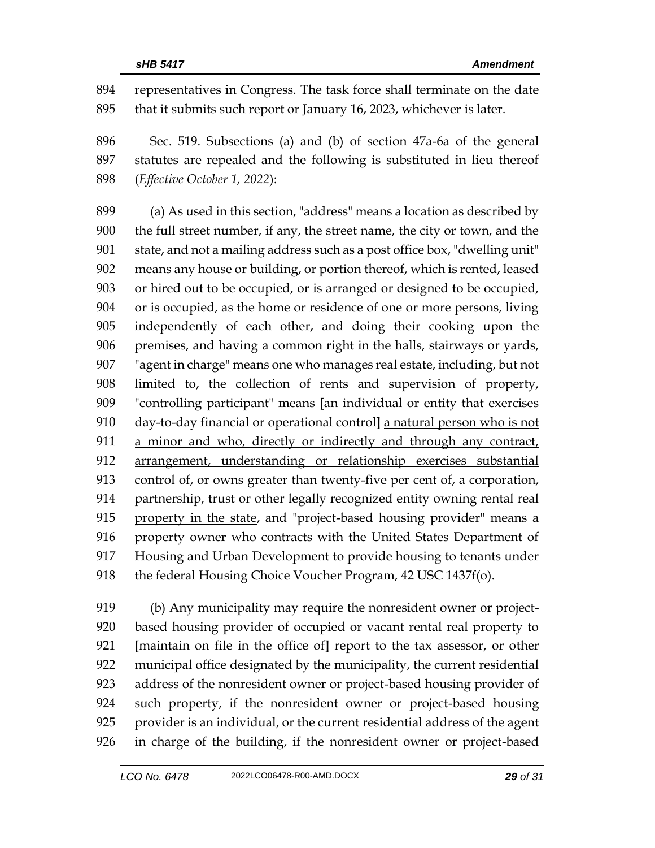representatives in Congress. The task force shall terminate on the date that it submits such report or January 16, 2023, whichever is later.

 Sec. 519. Subsections (a) and (b) of section 47a-6a of the general statutes are repealed and the following is substituted in lieu thereof (*Effective October 1, 2022*):

 (a) As used in this section, "address" means a location as described by the full street number, if any, the street name, the city or town, and the state, and not a mailing address such as a post office box, "dwelling unit" means any house or building, or portion thereof, which is rented, leased or hired out to be occupied, or is arranged or designed to be occupied, or is occupied, as the home or residence of one or more persons, living independently of each other, and doing their cooking upon the premises, and having a common right in the halls, stairways or yards, "agent in charge" means one who manages real estate, including, but not limited to, the collection of rents and supervision of property, "controlling participant" means **[**an individual or entity that exercises day-to-day financial or operational control**]** a natural person who is not a minor and who, directly or indirectly and through any contract, arrangement, understanding or relationship exercises substantial control of, or owns greater than twenty-five per cent of, a corporation, partnership, trust or other legally recognized entity owning rental real property in the state, and "project-based housing provider" means a property owner who contracts with the United States Department of Housing and Urban Development to provide housing to tenants under 918 the federal Housing Choice Voucher Program, 42 USC 1437f(o).

 (b) Any municipality may require the nonresident owner or project- based housing provider of occupied or vacant rental real property to **[**maintain on file in the office of**]** report to the tax assessor, or other municipal office designated by the municipality, the current residential address of the nonresident owner or project-based housing provider of such property, if the nonresident owner or project-based housing provider is an individual, or the current residential address of the agent in charge of the building, if the nonresident owner or project-based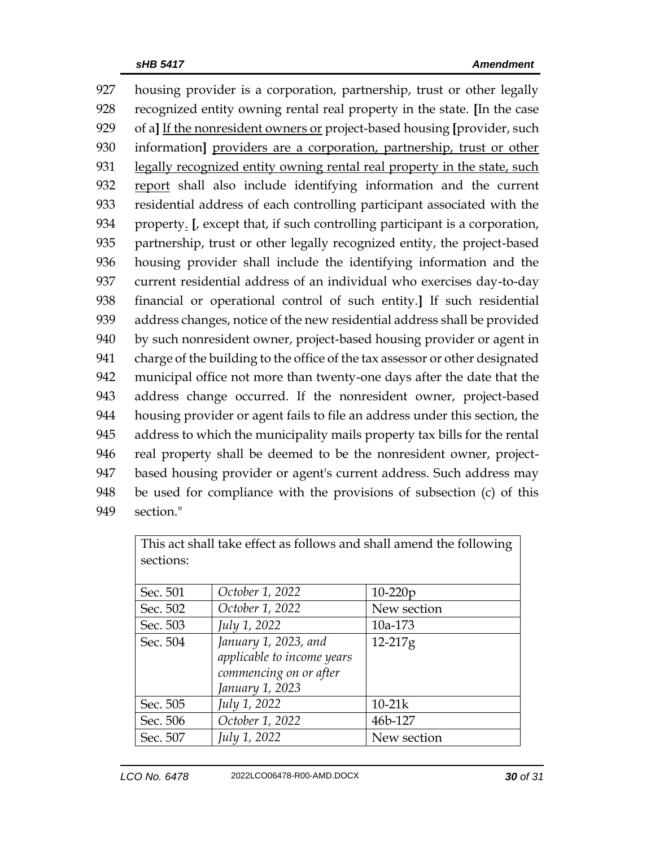housing provider is a corporation, partnership, trust or other legally recognized entity owning rental real property in the state. **[**In the case of a**]** If the nonresident owners or project-based housing **[**provider, such information**]** providers are a corporation, partnership, trust or other 931 legally recognized entity owning rental real property in the state, such report shall also include identifying information and the current residential address of each controlling participant associated with the property. **[**, except that, if such controlling participant is a corporation, partnership, trust or other legally recognized entity, the project-based housing provider shall include the identifying information and the current residential address of an individual who exercises day-to-day financial or operational control of such entity.**]** If such residential address changes, notice of the new residential address shall be provided 940 by such nonresident owner, project-based housing provider or agent in charge of the building to the office of the tax assessor or other designated municipal office not more than twenty-one days after the date that the address change occurred. If the nonresident owner, project-based housing provider or agent fails to file an address under this section, the address to which the municipality mails property tax bills for the rental real property shall be deemed to be the nonresident owner, project- based housing provider or agent's current address. Such address may be used for compliance with the provisions of subsection (c) of this section."

| This act shall take effect as follows and shall amend the following |                            |             |  |  |  |
|---------------------------------------------------------------------|----------------------------|-------------|--|--|--|
| sections:                                                           |                            |             |  |  |  |
|                                                                     |                            |             |  |  |  |
| Sec. 501                                                            | October 1, 2022            | $10-220p$   |  |  |  |
| Sec. 502                                                            | October 1, 2022            | New section |  |  |  |
| Sec. 503                                                            | July 1, 2022               | 10a-173     |  |  |  |
| Sec. 504                                                            | January 1, 2023, and       | 12-217g     |  |  |  |
|                                                                     | applicable to income years |             |  |  |  |
|                                                                     | commencing on or after     |             |  |  |  |
|                                                                     | January 1, 2023            |             |  |  |  |
| Sec. 505                                                            | July 1, 2022               | $10-21k$    |  |  |  |
| Sec. 506                                                            | October 1, 2022            | 46b-127     |  |  |  |
| Sec. 507                                                            | July 1, 2022               | New section |  |  |  |